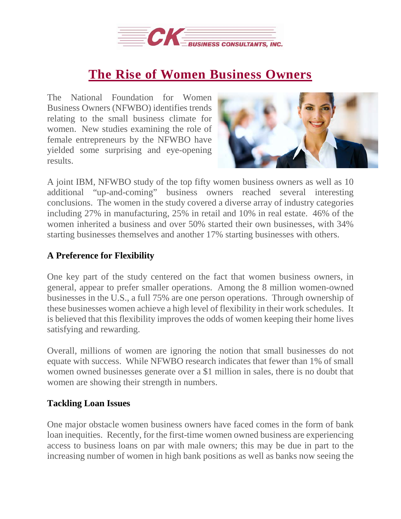

# **The Rise of Women [Business](https://deal-studio.com/rise-women-business-owners/) Owners**

The National Foundation for Women Business Owners (NFWBO) identifies trends relating to the small business climate for women. New studies examining the role of female entrepreneurs by the NFWBO have yielded some surprising and eye-opening results.



A joint IBM, NFWBO study of the top fifty women business owners as well as 10 additional "up-and-coming" business owners reached several interesting conclusions. The women in the study covered a diverse array of industry categories including 27% in manufacturing, 25% in retail and 10% in real estate. 46% of the women inherited a business and over 50% started their own businesses, with 34% starting businesses themselves and another 17% starting businesses with others.

## **A Preference for Flexibility**

One key part of the study centered on the fact that women business owners, in general, appear to prefer smaller operations. Among the 8 million women-owned businesses in the U.S., a full 75% are one person operations. Through ownership of these businesses women achieve a high level of flexibility in their work schedules. It is believed that this flexibility improves the odds of women keeping their home lives satisfying and rewarding.

Overall, millions of women are ignoring the notion that small businesses do not equate with success. While NFWBO research indicates that fewer than 1% of small women owned businesses generate over a \$1 million in sales, there is no doubt that women are showing their strength in numbers.

### **Tackling Loan Issues**

One major obstacle women business owners have faced comes in the form of bank loan inequities. Recently, for the first-time women owned business are experiencing access to business loans on par with male owners; this may be due in part to the increasing number of women in high bank positions as well as banks now seeing the